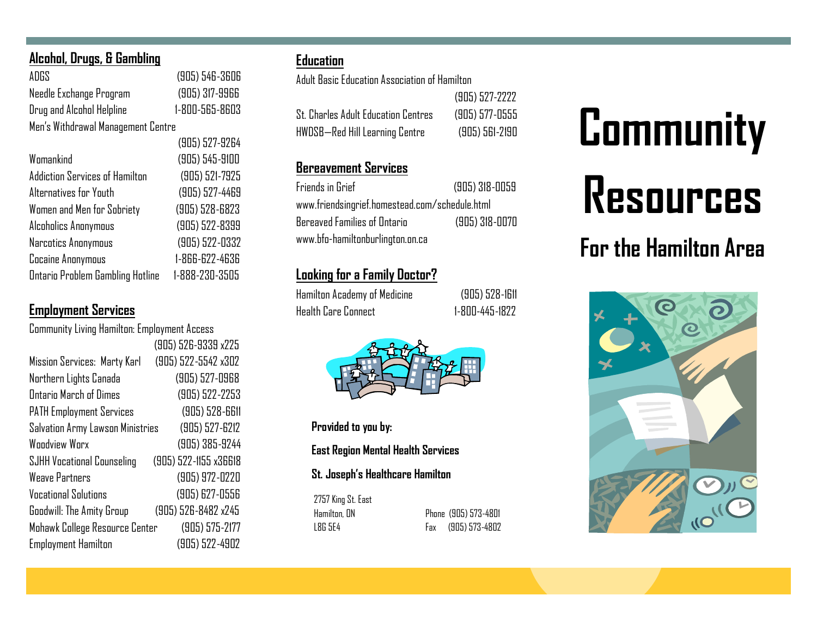### **Alcohol, Drugs, & Gambling**

ADGS (905) 546-3606 Needle Exchange Program (905) 317-9966 Drug and Alcohol Helpline 1-800-565-8603 Men's Withdrawal Management Centre (905) 527-9264

| Womankind                               | (905) 545-9100 |
|-----------------------------------------|----------------|
| <b>Addiction Services of Hamilton</b>   | (905) 521-7925 |
| Alternatives for Youth                  | (905) 527-4469 |
| Women and Men for Sobriety              | (905) 528-6823 |
| Alcoholics Anonymous                    | (905) 522-8399 |
| Narcotics Anonymous                     | (905) 522-0332 |
| Cocaine Anonymous                       | 1-866-622-4636 |
| <b>Ontario Problem Gambling Hotline</b> | 1-888-230-3505 |

#### **Employment Services**

| Community Living Hamilton: Employment Access |                       |
|----------------------------------------------|-----------------------|
|                                              | (905) 526-9339 x225   |
| Mission Services: Marty Karl                 | (905) 522-5542 x302   |
| Northern Lights Canada                       | (905) 527-0968        |
| Ontario March of Dimes                       | (905) 522-2253        |
| <b>PATH Employment Services</b>              | (905) 528-6611        |
| Salvation Army Lawson Ministries             | (905) 527-6212        |
| <b>Woodview Worx</b>                         | (905) 385-9244        |
| <b>SJHH Vocational Counseling</b>            | (905) 522-1155 x36618 |
| Weave Partners                               | (905) 972-0220        |
| <b>Vocational Solutions</b>                  | (905) 627-0556        |
| Goodwill: The Amity Group                    | (905) 526-8482 x245   |
| Mohawk College Resource Center               | (905) 575-2177        |
| <b>Employment Hamilton</b>                   | (905) 522-4902        |

#### **Education**

Adult Basic Education Association of Hamilton

|                                     | (905) 527-2222 |
|-------------------------------------|----------------|
| St. Charles Adult Education Centres | (905) 577-0555 |
| HWDSB-Red Hill Learning Centre      | (905) 561-2190 |

#### **Bereavement Services**

| Friends in Grief                               | $(905)$ 318-0059 |  |
|------------------------------------------------|------------------|--|
| www.friendsingrief.homestead.com/schedule.html |                  |  |
| <b>Bereaved Families of Ontario</b>            | (905) 318-0070   |  |
| www.bfo-hamiltonburlington.on.ca               |                  |  |

#### **Looking for a Family Doctor?**

| Hamilton Academy of Medicine | (90      |
|------------------------------|----------|
| Health Care Connect          | $1 - 80$ |

05) 528-1611 ID-445-1822



#### **Provided to you by:**

#### **East Region Mental Health Services**

#### **St. Joseph's Healthcare Hamilton**

2757 King St. East

Hamilton, ON Phone (905) 573-4801 L8G 5E4 Fax (905) 573-4802

# **Community Resources**

## **For the Hamilton Area**